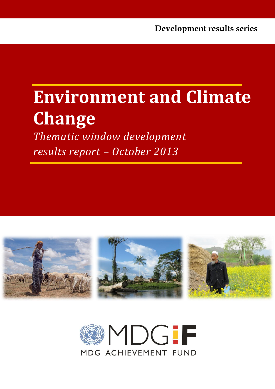# **Environment and Climate Change**

*Thematic window development results report – October 2013*



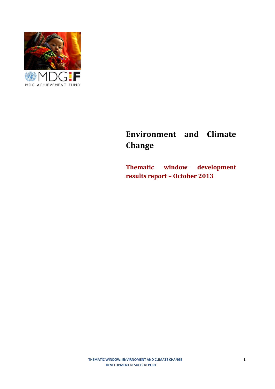

## **Environment and Climate Change**

**Thematic window development results report – October 2013**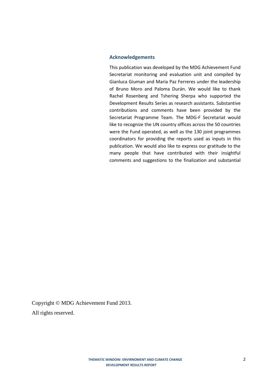#### **Acknowledgements**

This publication was developed by the MDG Achievement Fund Secretariat monitoring and evaluation unit and compiled by Gianluca Giuman and Maria Paz Ferreres under the leadership of Bruno Moro and Paloma Durán. We would like to thank Rachel Rosenberg and Tshering Sherpa who supported the Development Results Series as research assistants. Substantive contributions and comments have been provided by the Secretariat Programme Team. The MDG-F Secretariat would like to recognize the UN country offices across the 50 countries were the Fund operated, as well as the 130 joint programmes coordinators for providing the reports used as inputs in this publication. We would also like to express our gratitude to the many people that have contributed with their insightful comments and suggestions to the finalization and substantial

Copyright © MDG Achievement Fund 2013. All rights reserved.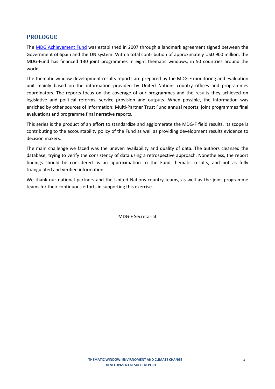## **PROLOGUE**

The [MDG Achievement Fund](http://www.mdgfund.org/country/timorleste) was established in 2007 through a landmark agreement signed between the Government of Spain and the UN system. With a total contribution of approximately USD 900 million, the MDG-Fund has financed 130 joint programmes in eight thematic windows, in 50 countries around the world.

The thematic window development results reports are prepared by the MDG-F monitoring and evaluation unit mainly based on the information provided by United Nations country offices and programmes coordinators. The reports focus on the coverage of our programmes and the results they achieved on legislative and political reforms, service provision and outputs. When possible, the information was enriched by other sources of information: Multi-Partner Trust Fund annual reports, joint programmes final evaluations and programme final narrative reports.

This series is the product of an effort to standardize and agglomerate the MDG-F field results. Its scope is contributing to the accountability policy of the Fund as well as providing development results evidence to decision makers.

The main challenge we faced was the uneven availability and quality of data. The authors cleansed the database, trying to verify the consistency of data using a retrospective approach. Nonetheless, the report findings should be considered as an approximation to the Fund thematic results, and not as fully triangulated and verified information.

We thank our national partners and the United Nations country teams, as well as the joint programme teams for their continuous efforts in supporting this exercise.

MDG-F Secretariat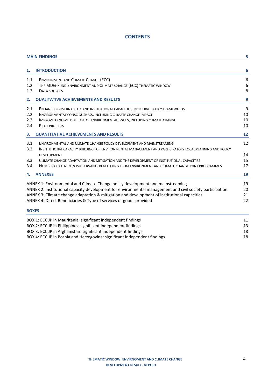## **CONTENTS**

|              | <b>MAIN FINDINGS</b>                                                                                     | 5  |
|--------------|----------------------------------------------------------------------------------------------------------|----|
| 1.           | <b>INTRODUCTION</b>                                                                                      | 6  |
| 1.1.         | ENVIRONMENT AND CLIMATE CHANGE (ECC)                                                                     | 6  |
| 1.2.         | THE MDG-FUND ENVIRONMENT AND CLIMATE CHANGE (ECC) THEMATIC WINDOW                                        | 6  |
| 1.3.         | DATA SOURCES                                                                                             | 8  |
| 2.           | <b>QUALITATIVE ACHIEVEMENTS AND RESULTS</b>                                                              | 9  |
| 2.1.         | ENHANCED GOVERNABILITY AND INSTITUTIONAL CAPACITIES, INCLUDING POLICY FRAMEWORKS                         | 9  |
| 2.2.         | ENVIRONMENTAL CONSCIOUSNESS, INCLUDING CLIMATE CHANGE IMPACT                                             | 10 |
| 2.3.         | IMPROVED KNOWLEDGE BASE OF ENVIRONMENTAL ISSUES, INCLUDING CLIMATE CHANGE                                | 10 |
| 2.4.         | PILOT PROJECTS                                                                                           | 10 |
| З.           | <b>QUANTITATIVE ACHIEVEMENTS AND RESULTS</b>                                                             | 12 |
| 3.1.         | ENVIRONMENTAL AND CLIMATE CHANGE POLICY DEVELOPMENT AND MAINSTREAMING                                    | 12 |
| 3.2.         | INSTITUTIONAL CAPACITY BUILDING FOR ENVIRONMENTAL MANAGEMENT AND PARTICIPATORY LOCAL PLANNING AND POLICY |    |
|              | <b>DEVELOPMENT</b>                                                                                       | 14 |
| 3.3.         | CLIMATE CHANGE ADAPTATION AND MITIGATION AND THE DEVELOPMENT OF INSTITUTIONAL CAPACITIES                 | 15 |
| 3.4.         | NUMBER OF CITIZENS/CIVIL SERVANTS BENEFITTING FROM ENVIRONMENT AND CLIMATE CHANGE JOINT PROGRAMMES       | 17 |
| 4.           | <b>ANNEXES</b>                                                                                           | 19 |
|              | ANNEX 1: Environmental and Climate Change policy development and mainstreaming                           | 19 |
|              | ANNEX 2: Institutional capacity development for environmental management and civil society participation | 20 |
|              | ANNEX 3: Climate change adaptation & mitigation and development of institutional capacities              | 21 |
|              | ANNEX 4: Direct Beneficiaries & Type of services or goods provided                                       | 22 |
| <b>BOXES</b> |                                                                                                          |    |
|              | BOX 1: ECC JP in Mauritania: significant independent findings                                            | 11 |
|              | BOX 2: ECC JP in Philippines: significant independent findings                                           | 13 |
|              | BOX 3: ECC JP in Afghanistan: significant independent findings                                           | 18 |

BOX 4: ECC JP in Bosnia and Herzegovina: significant independent findings 18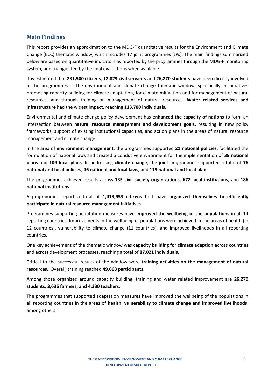## **Main Findings**

This report provides an approximation to the MDG-F quantitative results for the Environment and Climate Change (ECC) thematic window, which includes 17 joint programmes (JPs). The main findings summarized below are based on quantitative indicators as reported by the programmes through the MDG-F monitoring system, and triangulated by the final evaluations when available.

It is estimated that **231,500 citizens**, **12,829 civil servants** and **26,270 students** have been directly involved in the programmes of the environment and climate change thematic window, specifically in initiatives promoting capacity building for climate adaptation, for climate mitigation and for management of natural resources, and through training on management of natural resources. **Water related services and infrastructure** had the widest impact, reaching **113,700 individuals**.

Environmental and climate change policy development has **enhanced the capacity of nations** to form an intersection between **natural resource management and development goals**, resulting in new policy frameworks, support of existing institutional capacities, and action plans in the areas of natural resource management and climate change.

In the area of **environment management**, the programmes supported **21 national policies**, facilitated the formulation of national laws and created a conducive environment for the implementation of **39 national plans** and **109 local plans**. In addressing **climate change**, the joint programmes supported a total of **76 national and local policies**, **46 national and local laws**, and **119 national and local plans**.

The programmes achieved results across **135 civil society organizations**, **672 local institutions**, and **186 national institutions**.

6 programmes report a total of **1,413,953 citizens** that have **organized themselves to efficiently participate in natural resource management** initiatives.

Programmes supporting adaptation measures have **improved the wellbeing of the populations** in all 14 reporting countries. Improvements in the wellbeing of populations were achieved in the areas of health (in 12 countries), vulnerability to climate change (11 countries), and improved livelihoods in all reporting countries.

One key achievement of the thematic window was **capacity building for climate adaption** across countries and across development processes, reaching a total of **87,021 individuals**.

Critical to the successful results of the window were **training activities on the management of natural resources**. Overall, training reached **49,668 participants**.

Among those organized around capacity building, training and water related improvement are **26,270 students**, **3,636 farmers, and 4,330 teachers**.

The programmes that supported adaptation measures have improved the wellbeing of the populations in all reporting countries in the areas of **health, vulnerability to climate change and improved livelihoods**, among others.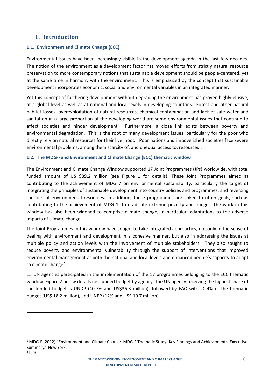## **1. Introduction**

 $\ddot{\phantom{a}}$ 

## **1.1. Environment and Climate Change (ECC)**

Environmental issues have been increasingly visible in the development agenda in the last few decades. The notion of the environment as a development factor has moved efforts from strictly natural resource preservation to more contemporary notions that sustainable development should be people-centered, yet at the same time in harmony with the environment. This is emphasized by the concept that sustainable development incorporates economic, social and environmental variables in an integrated manner.

Yet this concept of furthering development without degrading the environment has proven highly elusive, at a global level as well as at national and local levels in developing countries. Forest and other natural habitat losses, overexploitation of natural resources, chemical contamination and lack of safe water and sanitation in a large proportion of the developing world are some environmental issues that continue to affect societies and hinder development. Furthermore, a close link exists between poverty and environmental degradation. This is the root of many development issues, particularly for the poor who directly rely on natural resources for their livelihood. Poor nations and impoverished societies face severe environmental problems, among them scarcity of, and unequal access to, resources<sup>1</sup>.

## **1.2. The MDG-Fund Environment and Climate Change (ECC) thematic window**

The Environment and Climate Change Window supported 17 Joint Programmes (JPs) worldwide, with total funded amount of US \$89.2 million (see Figure 1 for details). These Joint Programmes aimed at contributing to the achievement of MDG 7 on environmental sustainability, particularly the target of integrating the principles of sustainable development into country policies and programmes, and reversing the loss of environmental resources. In addition, these programmes are linked to other goals, such as contributing to the achievement of MDG 1: to eradicate extreme poverty and hunger. The work in this window has also been widened to comprise climate change, in particular, adaptations to the adverse impacts of climate change.

The Joint Programmes in this window have sought to take integrated approaches, not only in the sense of dealing with environment and development in a cohesive manner, but also in addressing the issues at multiple policy and action levels with the involvement of multiple stakeholders. They also sought to reduce poverty and environmental vulnerability through the support of interventions that improved environmental management at both the national and local levels and enhanced people's capacity to adapt to climate change<sup>2</sup>.

15 UN agencies participated in the implementation of the 17 programmes belonging to the ECC thematic window. Figure 2 below details net funded budget by agency. The UN agency receiving the highest share of the funded budget is UNDP (40.7% and US\$36.3 million), followed by FAO with 20.4% of the thematic budget (US\$ 18.2 million), and UNEP (12% and US\$ 10.7 million).

<sup>&</sup>lt;sup>1</sup> MDG-F (2012) "Environment and Climate Change. MDG-F Thematic Study: Key Findings and Achievements. Executive Summary." New York.  $2$  Ibid.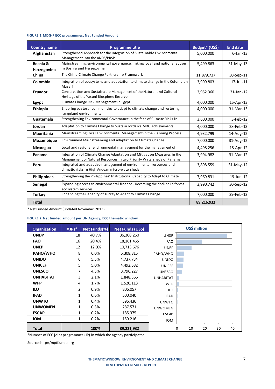### **FIGURE 1 MDG-F ECC programmes, Net Funded Amount**

| <b>Country name</b>     | <b>Programme title</b>                                                                                                                          | Budget* (US\$) | <b>End date</b> |
|-------------------------|-------------------------------------------------------------------------------------------------------------------------------------------------|----------------|-----------------|
| Afghanistan             | Strengthened Approach for the Integration of Sustainable Environmental<br>Management into the ANDS/PRSP                                         | 5,000,000      | $6$ -Jan-13     |
| Bosnia &<br>Herzegovina | Mainstreaming environmental governance: linking local and national action<br>in Bosnia and Herzegovina                                          | 5,499,863      | 31-May-13       |
| China                   | The China Climate Change Partnership Framework                                                                                                  | 11,879,737     | 30-Sep-11       |
| Colombia                | Integration of ecosystems and adaptation to climate change in the Colombian<br>Massif                                                           | 3,999,803      | $17$ -Jul-11    |
| <b>Ecuador</b>          | Conservation and Sustainable Management of the Natural and Cultural<br>Heritage of the Yasuní Biosphere Reserve                                 | 3,952,360      | 31-Jan-12       |
| Egypt                   | Climate Change Risk Management in Egypt                                                                                                         | 4,000,000      | 15-Apr-13       |
| Ethiopia                | Enabling pastoral communities to adapt to climate change and restoring<br>rangel and environments                                               | 4,000,000      | 31-Mar-13       |
| Guatemala               | Strengthening Environmental Governance in the face of Climate Risks in                                                                          | 3,600,000      | $3$ -Feb-12     |
| Jordan                  | Adaptation to Climate Change to Sustain Jordan's MDG Achievements                                                                               | 4,000,000      | 28-Feb-13       |
| Mauritania              | Mainstreaming Local Environmental Management in the Planning Process                                                                            | 4,932,799      | 14-Aug-12       |
| Mozambique              | Environment Mainstreaming and Adaptation to Climate Change                                                                                      | 7,000,000      | 31-Aug-12       |
| Nicaragua               | Local and regional environmental management for the management of                                                                               | 4,498,256      | 18-Apr-12       |
| Panama                  | Integration of Climate Change Adaptation and Mitigation Measures in the<br>Management of Natural Resources in two Priority Watersheds of Panama | 3,994,982      | 31-Mar-12       |
| Peru                    | Integrated and adaptive management of environmental resources and<br>climatic risks in High Andean micro-watersheds                             | 3,898,559      | 31-May-12       |
| <b>Philippines</b>      | Strengthening the Philippines' Institutional Capacity to Adapt to Climate                                                                       | 7,969,831      | 19-Jun-12       |
| Senegal                 | Expanding access to environmental finance - Reversing the decline in forest<br>ecosystem services                                               | 3,990,742      | 30-Sep-12       |
| <b>Turkey</b>           | Enhancing the Capacity of Turkey to Adapt to Climate Change                                                                                     | 7,000,000      | 29-Feb-12       |
| <b>Total</b>            |                                                                                                                                                 | 89,216,932     |                 |

\* Net Funded Amount (updated November 2013)

### **FIGURE 2 Net funded amount per UN Agency, ECC thematic window**

| <b>Organization</b> | #JPs* | Net Funds(%) | Net Funds (US\$)                                                      | US\$ million     |   |    |    |    |    |  |  |  |  |
|---------------------|-------|--------------|-----------------------------------------------------------------------|------------------|---|----|----|----|----|--|--|--|--|
| <b>UNDP</b>         | 18    | 40.7%        | 36,308,260                                                            | <b>UNDP</b>      |   |    |    |    |    |  |  |  |  |
| <b>FAO</b>          | 16    | 20.4%        | 18, 161, 465                                                          | <b>FAO</b>       |   |    |    |    |    |  |  |  |  |
| <b>UNEP</b>         | 12    | 12.0%        | 10,713,676                                                            | <b>UNEP</b>      |   |    |    |    |    |  |  |  |  |
| PAHO/WHO            | 8     | 6.0%         | 5,308,815                                                             | PAHO/WHO         |   |    |    |    |    |  |  |  |  |
| <b>UNIDO</b>        | 6     | 5.3%         | 4,737,734                                                             | <b>UNIDO</b>     |   |    |    |    |    |  |  |  |  |
| <b>UNICEF</b>       | 5     | 5.0%         | 4,492,582                                                             | <b>UNICEF</b>    |   |    |    |    |    |  |  |  |  |
| <b>UNESCO</b>       | 7     | 4.3%         | 3,796,227                                                             | <b>UNESCO</b>    |   |    |    |    |    |  |  |  |  |
| <b>UNHABITAT</b>    | 3     | 2.1%         | 1,848,366                                                             | <b>UNHABITAT</b> |   |    |    |    |    |  |  |  |  |
| <b>WFP</b>          | 4     | 1.7%         | 1,520,113                                                             | <b>WFP</b>       |   |    |    |    |    |  |  |  |  |
| <b>ILO</b>          | 2     | 0.9%         | 806,057                                                               | <b>ILO</b>       |   |    |    |    |    |  |  |  |  |
| <b>IFAD</b>         | 1     | 0.6%         | 500,040                                                               | <b>IFAD</b>      |   |    |    |    |    |  |  |  |  |
| <b>UNWTO</b>        | 1     | 0.4%         | 396,436                                                               | <b>UNWTO</b>     |   |    |    |    |    |  |  |  |  |
| <b>UNWOMEN</b>      | 1     | 0.3%         | 287,571                                                               | <b>UNWOMEN</b>   |   |    |    |    |    |  |  |  |  |
| <b>ESCAP</b>        | 1     | 0.2%         | 185,375                                                               | <b>ESCAP</b>     |   |    |    |    |    |  |  |  |  |
| <b>IOM</b>          | 1     | 0.2%         | 159,216                                                               | <b>IOM</b>       |   |    |    |    |    |  |  |  |  |
| <b>Total</b>        |       | 100%         | 89,221,932                                                            |                  | 0 | 10 | 20 | 30 | 40 |  |  |  |  |
|                     |       |              | *Number of ECC joint programmes (JP) in which the agency participated |                  |   |    |    |    |    |  |  |  |  |

Source: http://mptf.undp.org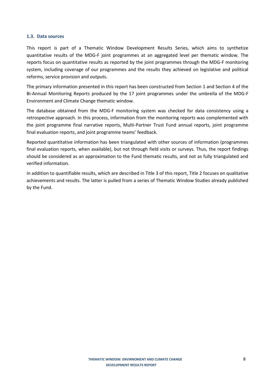#### **1.3. Data sources**

This report is part of a Thematic Window Development Results Series, which aims to synthetize quantitative results of the MDG-F joint programmes at an aggregated level per thematic window. The reports focus on quantitative results as reported by the joint programmes through the MDG-F monitoring system, including coverage of our programmes and the results they achieved on legislative and political reforms, service provision and outputs.

The primary information presented in this report has been constructed from Section 1 and Section 4 of the Bi-Annual Monitoring Reports produced by the 17 joint programmes under the umbrella of the MDG-F Environment and Climate Change thematic window.

The database obtained from the MDG-F monitoring system was checked for data consistency using a retrospective approach. In this process, information from the monitoring reports was complemented with the joint programme final narrative reports, Multi-Partner Trust Fund annual reports, joint programme final evaluation reports, and joint programme teams' feedback.

Reported quantitative information has been triangulated with other sources of information (programmes final evaluation reports, when available), but not through field visits or surveys. Thus, the report findings should be considered as an approximation to the Fund thematic results, and not as fully triangulated and verified information.

In addition to quantifiable results, which are described in Title 3 of this report, Title 2 focuses on qualitative achievements and results. The latter is pulled from a series of Thematic Window Studies already published by the Fund.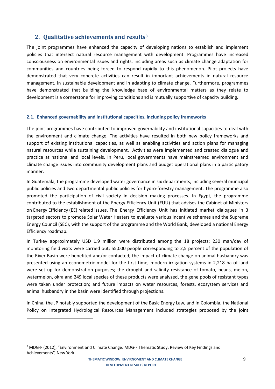## **2. Qualitative achievements and results<sup>3</sup>**

The joint programmes have enhanced the capacity of developing nations to establish and implement policies that intersect natural resource management with development. Programmes have increased consciousness on environmental issues and rights, including areas such as climate change adaptation for communities and countries being forced to respond rapidly to this phenomenon. Pilot projects have demonstrated that very concrete activities can result in important achievements in natural resource management, in sustainable development and in adapting to climate change. Furthermore, programmes have demonstrated that building the knowledge base of environmental matters as they relate to development is a cornerstone for improving conditions and is mutually supportive of capacity building.

## **2.1. Enhanced governability and institutional capacities, including policy frameworks**

The joint programmes have contributed to improved governability and institutional capacities to deal with the environment and climate change. The activities have resulted in both new policy frameworks and support of existing institutional capacities, as well as enabling activities and action plans for managing natural resources while sustaining development. Activities were implemented and created dialogue and practice at national and local levels. In Peru, local governments have mainstreamed environment and climate change issues into community development plans and budget operational plans in a participatory manner.

In Guatemala, the programme developed water governance in six departments, including several municipal public policies and two departmental public policies for hydro-forestry management. The programme also promoted the participation of civil society in decision making processes. In Egypt, the programme contributed to the establishment of the Energy Efficiency Unit (EUU) that advises the Cabinet of Ministers on Energy Efficiency (EE) related issues. The Energy Efficiency Unit has initiated market dialogues in 3 targeted sectors to promote Solar Water Heaters to evaluate various incentive schemes and the Supreme Energy Council (SEC), with the support of the programme and the World Bank, developed a national Energy Efficiency roadmap.

In Turkey approximately USD 1.9 million were distributed among the 18 projects; 230 man/day of monitoring field visits were carried out; 55,000 people corresponding to 2,5 percent of the population of the River Basin were benefited and/or contacted; the impact of climate change on animal husbandry was presented using an econometric model for the first time; modern irrigation systems in 2,218 ha of land were set up for demonstration purposes; the drought and salinity resistance of tomato, beans, melon, watermelon, okra and 249 local species of these products were analyzed, the gene pools of resistant types were taken under protection; and future impacts on water resources, forests, ecosystem services and animal husbandry in the basin were identified through projections.

In China, the JP notably supported the development of the Basic Energy Law, and in Colombia, the National Policy on Integrated Hydrological Resources Management included strategies proposed by the joint

1

<sup>&</sup>lt;sup>3</sup> MDG-F (2012), "Environment and Climate Change. MDG-F Thematic Study: Review of Key Findings and Achievements", New York.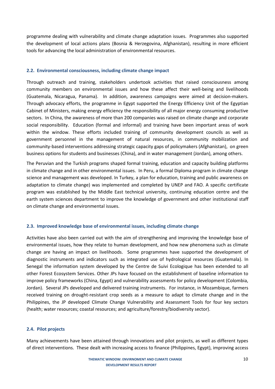programme dealing with vulnerability and climate change adaptation issues. Programmes also supported the development of local actions plans (Bosnia & Herzegovina, Afghanistan), resulting in more efficient tools for advancing the local administration of environmental resources.

### **2.2. Environmental consciousness, including climate change impact**

Through outreach and training, stakeholders undertook activities that raised consciousness among community members on environmental issues and how these affect their well-being and livelihoods (Guatemala, Nicaragua, Panama). In addition, awareness campaigns were aimed at decision-makers. Through advocacy efforts, the programme in Egypt supported the Energy Efficiency Unit of the Egyptian Cabinet of Ministers, making energy efficiency the responsibility of all major energy consuming productive sectors. In China, the awareness of more than 200 companies was raised on climate change and corporate social responsibility. Education (formal and informal) and training have been important areas of work within the window. These efforts included training of community development councils as well as government personnel in the management of natural resources, in community mobilization and community-based interventions addressing strategic capacity gaps of policymakers (Afghanistan), on green business options for students and businesses (China), and in water management (Jordan), among others.

The Peruvian and the Turkish programs shaped formal training, education and capacity building platforms in climate change and in other environmental issues. In Peru, a formal Diploma program in climate change science and management was developed. In Turkey, a plan for education, training and public awareness on adaptation to climate change) was implemented and completed by UNEP and FAO. A specific certificate program was established by the Middle East technical university, continuing education centre and the earth system sciences department to improve the knowledge of government and other institutional staff on climate change and environmental issues.

## **2.3. Improved knowledge base of environmental issues, including climate change**

Activities have also been carried out with the aim of strengthening and improving the knowledge base of environmental issues, how they relate to human development, and how new phenomena such as climate change are having an impact on livelihoods. Some programmes have supported the development of diagnostic instruments and indicators such as integrated use of hydrological resources (Guatemala). In Senegal the information system developed by the Centre de Suivi Ecologique has been extended to all other Forest Ecosystem Services. Other JPs have focused on the establishment of baseline information to improve policy frameworks (China, Egypt) and vulnerability assessments for policy development (Colombia, Jordan). Several JPs developed and delivered training instruments. For instance, in Mozambique, farmers received training on drought-resistant crop seeds as a measure to adapt to climate change and in the Philippines, the JP developed Climate Change Vulnerability and Assessment Tools for four key sectors (health; water resources; coastal resources; and agriculture/forestry/biodiversity sector).

#### **2.4. Pilot projects**

Many achievements have been attained through innovations and pilot projects, as well as different types of direct interventions. These dealt with increasing access to finance (Philippines, Egypt), improving access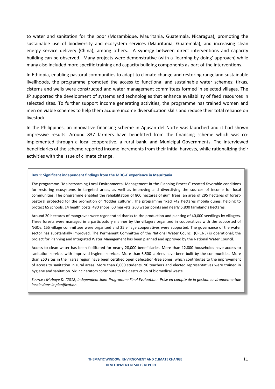to water and sanitation for the poor (Mozambique, Mauritania, Guatemala, Nicaragua), promoting the sustainable use of biodiversity and ecosystem services (Mauritania, Guatemala), and increasing clean energy service delivery (China), among others. A synergy between direct interventions and capacity building can be observed. Many projects were demonstrative (with a 'learning by doing' approach) while many also included more specific training and capacity building components as part of the interventions.

In Ethiopia, enabling pastoral communities to adapt to climate change and restoring rangeland sustainable livelihoods, the programme promoted the access to functional and sustainable water schemes; tirkas, cisterns and wells were constructed and water management committees formed in selected villages. The JP supported the development of systems and technologies that enhance availability of feed resources in selected sites. To further support income generating activities, the programme has trained women and men on viable schemes to help them acquire income diversification skills and reduce their total reliance on livestock.

In the Philippines, an innovative financing scheme in Agusan del Norte was launched and it had shown impressive results. Around 837 farmers have benefitted from the financing scheme which was coimplemented through a local cooperative, a rural bank, and Municipal Governments. The interviewed beneficiaries of the scheme reported income increments from their initial harvests, while rationalizing their activities with the issue of climate change.

#### **Box 1: Significant independent findings from the MDG-F experience in Mauritania**

The programme "Mainstreaming Local Environmental Management in the Planning Process" created favorable conditions for restoring ecosystems in targeted areas, as well as improving and diversifying the sources of income for local communities. The programme enabled the rehabilitation of 800 hectares of gum trees, an area of 295 hectares of forestpastoral protected for the promotion of "fodder culture". The programme fixed 742 hectares mobile dunes, helping to protect 65 schools, 14 health posts, 490 shops, 60 markets, 260 water points and nearly 5,800 farmland's hectares.

Around 20 hectares of mangroves were regenerated thanks to the production and planting of 40,000 seedlings by villagers. Three forests were managed in a participatory manner by the villagers organized in cooperatives with the supported of NGOs. 155 village committees were organized and 25 village cooperatives were supported. The governance of the water sector has substantially improved. The Permanent Committee of the National Water Council (CPCNE) is operational; the project for Planning and Integrated Water Management has been planned and approved by the National Water Council.

Access to clean water has been facilitated for nearly 28,000 beneficiaries. More than 12,800 households have access to sanitation services with improved hygiene services. More than 6,500 latrines have been built by the communities. More than 260 sites in the Trarza region have been certified open defecation-free zones, which contributes to the improvement of access to sanitation in rural areas. More than 6,000 students, 90 teachers and elected representatives were trained in hygiene and sanitation. Six incinerators contribute to the destruction of biomedical waste.

*Source : Mabaye D. (2012) Independent Joint Programme Final Evaluation: Prise en compte de la gestion environnementale locale dans la planification.*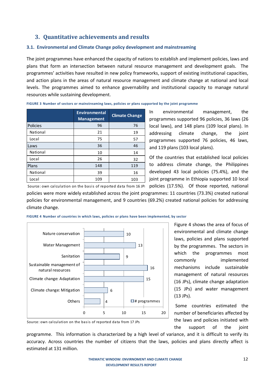## **3. Quantitative achievements and results**

## **3.1. Environmental and Climate Change policy development and mainstreaming**

The joint programmes have enhanced the capacity of nations to establish and implement policies, laws and plans that form an intersection between natural resource management and development goals. The programmes' activities have resulted in new policy frameworks, support of existing institutional capacities, and action plans in the areas of natural resource management and climate change at national and local levels. The programmes aimed to enhance governability and institutional capacity to manage natural resources while sustaining development.

|                 | <b>Environmental</b><br><b>Management</b> | <b>Climate Change</b> |
|-----------------|-------------------------------------------|-----------------------|
| <b>Policies</b> | 96                                        | 76                    |
| National        | 21                                        | 19                    |
| Local           | 75                                        | 57                    |
| Laws            | 36                                        | 46                    |
| National        | 10                                        | 14                    |
| Local           | 26                                        | 32                    |
| Plans           | 148                                       | 119                   |
| National        | 39                                        | 16                    |
| Local           | 109                                       | 103                   |

**FIGURE 3 Number of sectors or mainstreaming laws, policies or plans supported by the joint programme**

In environmental management, the programmes supported 96 policies, 36 laws (26 local laws), and 148 plans (109 local plans). In addressing climate change, the joint programmes supported 76 policies, 46 laws, and 119 plans (103 local plans).

Of the countries that established local policies to address climate change, the Philippines developed 43 local policies (75.4%), and the joint programme in Ethiopia supported 10 local

Source: own calculation on the basis of reported data from 16 JPs policies (17.5%). Of those reported, national policies were more widely established across the joint programmes: 11 countries (73.3%) created national policies for environmental management, and 9 countries (69.2%) created national policies for addressing climate change.



**FIGURE 4 Number of countries in which laws, policies or plans have been implemented, by sector**

Figure 4 shows the area of focus of environmental and climate change laws, policies and plans supported by the programmes. The sectors in which the programmes most commonly implemented mechanisms include sustainable management of natural resources (16 JPs), climate change adaptation (15 JPs) and water management (13 JPs).

Some countries estimated the number of beneficiaries affected by the laws and policies initiated with the support of the joint

Source: own calculation on the basis of reported data from 17 JPs

programme. This information is characterized by a high level of variance, and it is difficult to verify its accuracy. Across countries the number of citizens that the laws, policies and plans directly affect is estimated at 131 million.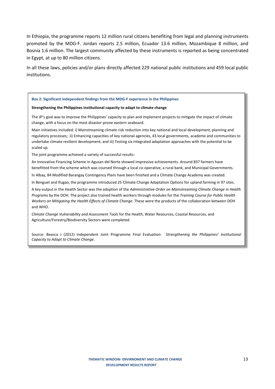In Ethiopia, the programme reports 12 million rural citizens benefiting from legal and planning instruments promoted by the MDG-F. Jordan reports 2.5 million, Ecuador 13.6 million, Mozambique 8 million, and Bosnia 1.6 million. The largest community affected by these instruments is reported as being concentrated in Egypt, at up to 80 million citizens.

In all these laws, policies and/or plans directly affected 229 national public institutions and 459 local public institutions.

#### **Box 2: Significant independent findings from the MDG-F experience in the Philippines**

#### **Strengthening the Philippines institutional capacity to adapt to climate change**

The JP's goal was to improve the Philippines' capacity to plan and implement projects to mitigate the impact of climate change, with a focus on the most disaster-prone eastern seaboard.

Main initiatives included: i) Mainstreaming climate risk reduction into key national and local development, planning and regulatory processes; ii) Enhancing capacities of key national agencies, 43 local governments, academe and communities to undertake climate resilient development; and iii) Testing six integrated adaptation approaches with the potential to be scaled up.

The joint programme achieved a variety of successful results:

An Innovative Financing Scheme in Agusan del Norte showed impressive achievements. Around 837 farmers have benefitted from the scheme which was coursed through a local co-operative, a rural bank, and Municipal Governments.

In Albay, 84 Modified Barangay Contingency Plans have been finished and a Climate Change Academy was created.

In Benguet and Ifugao, the programme introduced 25 Climate Change Adaptation Options for upland farming in 97 sites.

A key output in the Health Sector was the adoption of the *Administrative Order on Mainstreaming Climate Change in Health Programs* by the DOH. The project also trained health workers through modules for the *Training Course for Public Health Workers on Mitigating the Health Effects of Climate Change*. These were the products of the collaboration between DOH and WHO.

*Climate Change Vulnerability and Assessment Tools* for the Health, Water Resources, Coastal Resources, and Agriculture/Forestry/Biodiversity Sectors were completed.

Source: Beasca J (2012) Independent Joint Programme Final Evaluation: *Strengthening the Philippines' Institutional Capacity to Adapt to Climate Change*.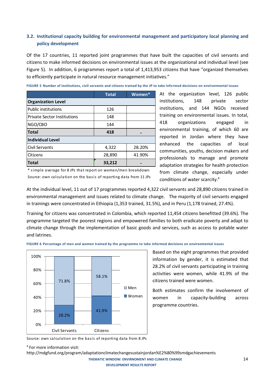## **3.2. Institutional capacity building for environmental management and participatory local planning and policy development**

Of the 17 countries, 11 reported joint programmes that have built the capacities of civil servants and citizens to make informed decisions on environmental issues at the organizational and individual level (see Figure 5). In addition, 6 programmes report a total of 1,413,953 citizens that have "organized themselves to efficiently participate in natural resource management initiatives."

|                                    | <b>Total</b> | Women* |
|------------------------------------|--------------|--------|
| <b>Organization Level</b>          |              |        |
| <b>Public institutions</b>         | 126          |        |
| <b>Private Sector Institutions</b> | 148          |        |
| NGO/CBO                            | 144          |        |
| <b>Total</b>                       | 418          |        |
| <b>Individual Level</b>            |              |        |
| Civil Servants                     | 4,322        | 28.20% |
| Citizens                           | 28,890       | 41.90% |
| <b>Total</b>                       | 33,212       |        |

**FIGURE 5 Number of institutions, civil servants and citizens trained by the JP to take informed decisions on environmental issues**

\* simple average for 8 JPs that report on women/men breakdown Source: own calculation on the basis of reporting data from 11 JPs At the organization level, 126 public institutions, 148 private sector institutions, and 144 NGOs received training on environmental issues. In total, 418 organizations engaged in environmental training, of which 60 are reported in Jordan where they have enhanced the capacities of local communities, youths, decision makers and professionals to manage and promote adaptation strategies for health protection from climate change, especially under conditions of water scarcity.<sup>4</sup>

At the individual level, 11 out of 17 programmes reported 4,322 civil servants and 28,890 citizens trained in environmental management and issues related to climate change. The majority of civil servants engaged in trainings were concentrated in Ethiopia (1,353 trained, 31.5%), and in Peru (1,178 trained, 27.4%).

Training for citizens was concentrated in Colombia, which reported 11,454 citizens benefitted (39.6%). The programme targeted the poorest regions and empowered families to both eradicate poverty and adapt to climate change through the implementation of basic goods and services, such as access to potable water and latrines.



**FIGURE 6 Percentage of men and women trained by the programme to take informed decisions on environmental issues**

Based on the eight programmes that provided information by gender, it is estimated that 28.2% of civil servants participating in training activities were women, while 41.9% of the citizens trained were women.

Both estimates confirm the involvement of women in capacity-building across programme countries.

Source: own calculation on the basis of reporting data from 8 JPs

http://mdgfund.org/program/adaptationclimatechangesustainjordan%E2%80%99smdgachievements

 **THEMATIC WINDOW: ENVIRNOMENT AND CLIMATE CHANGE**  14  **DEVELOPMENT RESULTS REPORT**

<sup>4</sup> For more information visit: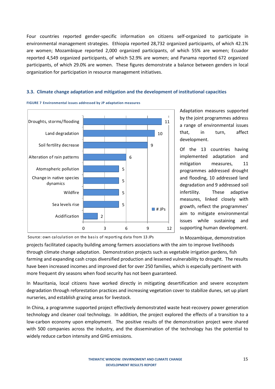Four countries reported gender-specific information on citizens self-organized to participate in environmental management strategies. Ethiopia reported 28,732 organized participants, of which 42.1% are women; Mozambique reported 2,000 organized participants, of which 55% are women; Ecuador reported 4,549 organized participants, of which 52.9% are women; and Panama reported 672 organized participants, of which 29.0% are women. These figures demonstrate a balance between genders in local organization for participation in resource management initiatives.

## **3.3. Climate change adaptation and mitigation and the development of institutional capacities**



#### **FIGURE 7 Environmental issues addressed by JP adaptation measures**

Adaptation measures supported by the joint programmes address a range of environmental issues that, in turn, affect development.

Of the 13 countries having implemented adaptation and mitigation measures, 11 programmes addressed drought and flooding, 10 addressed land degradation and 9 addressed soil infertility. These adaptive measures, linked closely with growth, reflect the programmes' aim to mitigate environmental issues while sustaining and supporting human development.

In Mozambique, demonstration

Source: own calculation on the basis of reporting data from 13 JPs

projects facilitated capacity building among farmers associations with the aim to improve livelihoods through climate change adaptation. Demonstration projects such as vegetable irrigation gardens, fish farming and expanding cash crops diversified production and lessened vulnerability to drought. The results have been increased incomes and improved diet for over 250 families, which is especially pertinent with more frequent dry seasons when food security has not been guaranteed.

In Mauritania, local citizens have worked directly in mitigating desertification and severe ecosystem degradation through reforestation practices and increasing vegetation cover to stabilize dunes, set up plant nurseries, and establish grazing areas for livestock.

In China, a programme supported project effectively demonstrated waste heat-recovery power generation technology and cleaner coal technology. In addition, the project explored the effects of a transition to a low-carbon economy upon employment. The positive results of the demonstration project were shared with 500 companies across the industry, and the dissemination of the technology has the potential to widely reduce carbon intensity and GHG emissions.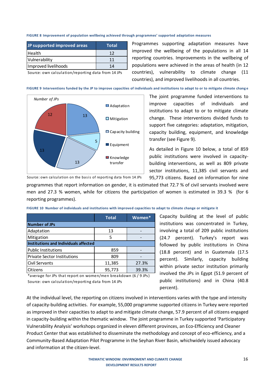#### **FIGURE 8 Improvement of population wellbeing achieved through programmes' supported adaptation measures**

| JP supported improved areas | <b>Total</b> |
|-----------------------------|--------------|
| <b>Health</b>               | 12           |
| Vulnerability               | 11           |
| Improved livelihoods        | 14           |

Programmes supporting adaptation measures have improved the wellbeing of the populations in all 14 reporting countries. Improvements in the wellbeing of populations were achieved in the areas of health (in 12 countries), vulnerability to climate change (11 countries), and improved livelihoods in all countries.

Source: own calculation/reporting data from 14 JPs

**FIGURE 9 Interventions funded by the JP to improve capacities of individuals and institutions to adapt to or to mitigate climate chang e**



Source: own calculation on the basis of reporting data from 14 JPs

The joint programme funded interventions to improve capacities of individuals and institutions to adapt to or to mitigate climate change. These interventions divided funds to support five categories: adaptation, mitigation, capacity building, equipment, and knowledge transfer (see Figure 9).

As detailed in Figure 10 below, a total of 859 public institutions were involved in capacitybuilding interventions, as well as 809 private sector institutions, 11,385 civil servants and 95,773 citizens. Based on information for nine

programmes that report information on gender, it is estimated that 72.7 % of civil servants involved were men and 27.3 % women, while for citizens the participation of women is estimated in 39.3 % (for 6 reporting programmes).

|                                       | <b>Total</b> | Women* |
|---------------------------------------|--------------|--------|
| <b>Number of JPs</b>                  |              |        |
| Adaptation                            | 13           |        |
| Mitigation                            | 5            |        |
| Institutions and Individuals affected |              |        |
| <b>Public Institutions</b>            | 859          |        |
| <b>Private Sector Institutions</b>    | 809          |        |
| Civil Servants                        | 11,385       | 27.3%  |
| Citizens                              | 95,773       | 39.3%  |

**FIGURE 10 Number of individuals and institutions with improved capacities to adapt to climate change or mitigate it**

Capacity building at the level of public institutions was concentrated in Turkey, involving a total of 209 public institutions (24.7 percent). Turkey's report was followed by public institutions in China (18.8 percent) and in Guatemala (17.5 percent). Similarly, capacity building within private sector institution primarily involved the JPs in Egypt (51.9 percent of public institutions) and in China (40.8 percent).

\*average for JPs that report on women/men breakdown (6 / 9 JPs) Source: own calculation/reporting data from 14 JPs

At the individual level, the reporting on citizens involved in interventions varies with the type and intensity of capacity-building activities. For example, 55,000 programme supported citizens in Turkey were reported as improved in their capacities to adapt to and mitigate climate change, 57.9 percent of all citizens engaged in capacity-building within the thematic window. The joint programme in Turkey supported 'Participatory Vulnerability Analysis' workshops organized in eleven different provinces, an Eco-Efficiency and Cleaner Product Center that was established to disseminate the methodology and concept of eco-efficiency, and a Community-Based Adaptation Pilot Programme in the Seyhan River Basin, whichwidely issued advocacy and information at the citizen-level.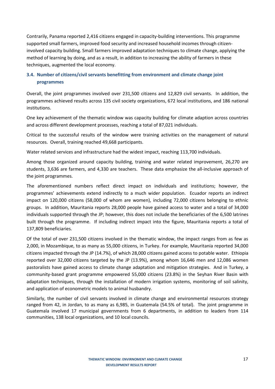Contrarily, Panama reported 2,416 citizens engaged in capacity-building interventions. This programme supported small farmers, improved food security and increased household incomes through citizeninvolved capacity building. Small farmers improved adaptation techniques to climate change, applying the method of learning by doing, and as a result, in addition to increasing the ability of farmers in these techniques, augmented the local economy.

## **3.4. Number of citizens/civil servants benefitting from environment and climate change joint programmes**

Overall, the joint programmes involved over 231,500 citizens and 12,829 civil servants. In addition, the programmes achieved results across 135 civil society organizations, 672 local institutions, and 186 national institutions.

One key achievement of the thematic window was capacity building for climate adaption across countries and across different development processes, reaching a total of 87,021 individuals.

Critical to the successful results of the window were training activities on the management of natural resources. Overall, training reached 49,668 participants.

Water related services and infrastructure had the widest impact, reaching 113,700 individuals.

Among those organized around capacity building, training and water related improvement, 26,270 are students, 3,636 are farmers, and 4,330 are teachers. These data emphasize the all-inclusive approach of the joint programmes.

The aforementioned numbers reflect direct impact on individuals and institutions; however, the programmes' achievements extend indirectly to a much wider population. Ecuador reports an indirect impact on 120,000 citizens (58,000 of whom are women), including 72,000 citizens belonging to ethnic groups. In addition, Mauritania reports 28,000 people have gained access to water and a total of 34,000 individuals supported through the JP; however, this does not include the beneficiaries of the 6,500 latrines built through the programme. If including indirect impact into the figure, Mauritania reports a total of 137,809 beneficiaries.

Of the total of over 231,500 citizens involved in the thematic window, the impact ranges from as few as 2,000, in Mozambique, to as many as 55,000 citizens, in Turkey. For example, Mauritania reported 34,000 citizens impacted through the JP (14.7%), of which 28,000 citizens gained access to potable water. Ethiopia reported over 32,000 citizens targeted by the JP (13.9%), among whom 16,646 men and 12,086 women pastoralists have gained access to climate change adaptation and mitigation strategies. And in Turkey, a community-based grant programme empowered 55,000 citizens (23.8%) in the Seyhan River Basin with adaptation techniques, through the installation of modern irrigation systems, monitoring of soil salinity, and application of econometric models to animal husbandry.

Similarly, the number of civil servants involved in climate change and environmental resources strategy ranged from 42, in Jordan, to as many as 6,985, in Guatemala (54.5% of total). The joint programme in Guatemala involved 17 municipal governments from 6 departments, in addition to leaders from 114 communities, 138 local organizations, and 10 local councils.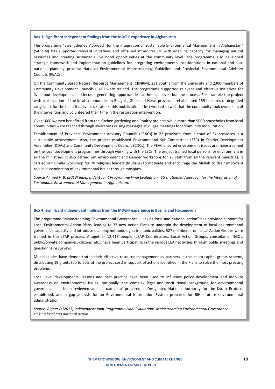#### **Box 3: Significant independent findings from the MDG-F experience in Afghanistan**

The programme "Strengthened Approach for the integration of Sustainable Environmental Management in Afghanistan" (SAISEM) has supported relevant initiatives and obtained mixed results with enabling capacity for managing natural resources and creating sustainable livelihood opportunities at the community level. The programme also developed strategic framework and implementation guidelines for integrating environmental considerations in national and subnational planning process: National Environmental Mainstreaming Guideline and Provincial Environmental Advisory Councils (PEACs).

On the Community Based Natural Resource Management (CBNRM), 231 youths from the university and 2300 members of Community Development Councils (CDC) were trained. The programme supported relevant and effective initiatives for livelihood development and income generating opportunities at the local level, but the process. For example the project with participation of the local communities in Badghis, Ghor and Herat provinces rehabilitated 159 hectares of degraded rangeland, for the benefit of livestock raisers, this mobilization effort worked so well that the community took ownership of the intervention and volunteered their time in the restoration intervention.

Over 1000 women benefitted from the Kitchen gardening and Poultry projects while more than 5000 households from local communities were reached through awareness raising messages at village meetings for community mobilization.

Establishment of Provincial Environment Advisory Councils (PEACs) in 22 provinces from a total of 34 provinces is a sustainable achievement. Also, the project established Environmental Sub-Committees (ESC) in District Development Assemblies (DDAs) and Community Development Councils (CDCs). The PEAC ensured environment issues are mainstreamed on the local development programmes through working with the ESCs. The project trained focal persons for environment in all the ministries. It also carried out environment and Gender workshops for 25 staff from all the relevant ministries, it carried out similar workshop for 70 religious leaders (Mullahs) to motivate and encourage the Mullah to their important role in dissemination of environmental issues through mosques.

*Source Ahmed F. B. (2013) Independent Joint Programme Final Evaluation: Strengthened Approach for the Integration of Sustainable Environmental Management in Afghanistan.*

#### **Box 4: Significant independent findings from the MDG-F experience in Bosnia and Herzegovina**

The programme "Mainstreaming Environmental Governance - Linking local and national action" has provided support for Local Environmental Action Plans, leading to 37 new Action Plans to underpin the development of local environmental governance capacity and introduce planning methodologies in municipalities. 527 members from Local Action Groups were trained in the LEAP process. Altogether 12,418 people (LEAP Coordinators, Local Action Groups, consultants, NGOs, public/private companies, citizens, etc.) have been participating in the various LEAP activities through public meetings and questionnaire surveys.

Municipalities have demonstrated their effective resource management as partners in the micro-capital grants scheme, distributing 19 grants (up to 50% of the project cost) in support of actions identified in the Plans to solve the most pressing problems.

Local level developments, lessons and best practice have been used to influence policy development and mobilize awareness on environmental issues. Nationally, the complex legal and institutional background for environmental governance has been reviewed and a 'road map' prepared; a Designated National Authority for the Kyoto Protocol established, and a gap analysis for an Environmental Information System prepared for BiH's future environmental administration.

*Source: Aigner D (2013) Independent Joint Programme Final Evaluation: Mainstreaming Environmental Governance - Linking local and national action.*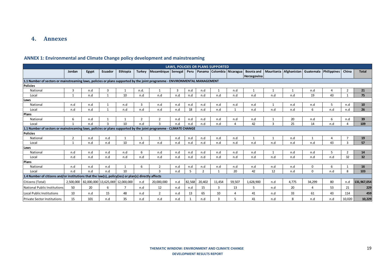## **4. Annexes**

## **ANNEX 1: Environmental and Climate Change policy development and mainstreaming**

|                                                                                                                            |                |       |                                  |          |                |                    |     |        |                          | <b>LAWS, POLICIES OR PLANS SUPPORTED</b> |          |             |                                                                 |                |              |     |                |              |
|----------------------------------------------------------------------------------------------------------------------------|----------------|-------|----------------------------------|----------|----------------|--------------------|-----|--------|--------------------------|------------------------------------------|----------|-------------|-----------------------------------------------------------------|----------------|--------------|-----|----------------|--------------|
|                                                                                                                            | Jordan         | Egypt | Ecuador                          | Ethiopia | Turkey         | Mozambique Senegal |     |        |                          | Peru   Panama   Colombia   Nicaragua     |          | Herzegovina | Bosnia and   Mauritania   Afghanistan   Guatemala   Philippines |                |              |     | China          | <b>Total</b> |
| 1.1 Number of sectors or mainstreaming laws, policies or plans supported by the joint programme - ENVIRONMENTAL MANAGEMENT |                |       |                                  |          |                |                    |     |        |                          |                                          |          |             |                                                                 |                |              |     |                |              |
| <b>Policies</b>                                                                                                            |                |       |                                  |          |                |                    |     |        |                          |                                          |          |             |                                                                 |                |              |     |                |              |
| National                                                                                                                   | 3              | n.d   | 3                                |          | n.d.           | $\mathbf{1}$       | 3   | n.d    | n.d                      |                                          | n.d      | 1           | $\mathbf{1}$                                                    | $\overline{1}$ | n.d          | 4   | $\overline{2}$ | 21           |
| Local                                                                                                                      | $\mathbf{1}$   | n.d   | $\mathbf{1}$                     | 10       | n.d            | n.d                | n.d | n.d    | n.d                      | n.d                                      | n.d      | n.d         | n.d                                                             | n.d            | 19           | 43  |                | 75           |
| Laws                                                                                                                       |                |       |                                  |          |                |                    |     |        |                          |                                          |          |             |                                                                 |                |              |     |                |              |
| National                                                                                                                   | n.d            | n.d   | 1                                | n.d      | 3              | n.d                | n.d | n.d    | n.d                      | n.d                                      | n.d      | n.d         | -1                                                              | n.d            | n.d          | 5   | n.d            | 10           |
| Local                                                                                                                      | n.d            | n.d   | $\mathbf{1}$                     | n.d      | n.d            | n.d                | n.d | 18     | n.d                      | n.d                                      |          | n.d         | n.d                                                             | n.d            | 6            | n.d | n.d            | 26           |
| <b>Plans</b>                                                                                                               |                |       |                                  |          |                |                    |     |        |                          |                                          |          |             |                                                                 |                |              |     |                |              |
| National                                                                                                                   | 6              | n.d   | 1                                |          | $\overline{2}$ | $\overline{2}$     | n.d | n.d    | n.d                      | n.d                                      | n.d      | n.d         |                                                                 | 20             | n.d          | 6   | n.d            | 39           |
| Local                                                                                                                      |                | n.d   | 3                                | 10       | n.d            | 3                  | n.d | n.d    | n.d                      | n.d                                      | $\Delta$ | 42          | 3                                                               | 25             | 14           | n.d |                | 109          |
| 1.1 Number of sectors or mainstreaming laws, policies or plans supported by the joint programme - CLIMATE CHANGE           |                |       |                                  |          |                |                    |     |        |                          |                                          |          |             |                                                                 |                |              |     |                |              |
| <b>Policies</b>                                                                                                            |                |       |                                  |          |                |                    |     |        |                          |                                          |          |             |                                                                 |                |              |     |                |              |
| National                                                                                                                   | $\overline{2}$ | n.d   | n.d                              |          |                | 1                  | n.d | n.d    | n.d                      | n.d                                      | n.d      |             | $\mathbf{1}$                                                    | n.d            |              | 4   |                | 19           |
| Local                                                                                                                      |                | n.d   | n.d                              | 10       | n.d            | n.d                | n.d | n.d    | n.d                      | n.d                                      | n.d      | n.d         | n.d                                                             | n.d            | n.d          | 43  | 3              | 57           |
| Laws                                                                                                                       |                |       |                                  |          |                |                    |     |        |                          |                                          |          |             |                                                                 |                |              |     |                |              |
| National                                                                                                                   | n.d            | n.d   | n.d                              | n.d      | 6              | n.d                | n.d | n.d    | n.d                      | n.d                                      | n.d      | n.d         |                                                                 | n.d            | n.d          | 5   | $\overline{2}$ | 14           |
| Local                                                                                                                      | n.d            | n.d   | n.d                              | n.d      | n.d            | n.d                | n.d | n.d    | n.d                      | n.d                                      | n.d      | n.d         | n.d                                                             | n.d            | n.d          | n.d | 32             | 32           |
| Plans                                                                                                                      |                |       |                                  |          |                |                    |     |        |                          |                                          |          |             |                                                                 |                |              |     |                |              |
| National                                                                                                                   | n.d            | n.d   | n.d                              |          | 6              | $\overline{2}$     | n.d | n.d    | n.d                      | n.d                                      | n.d      | n.d         | n.d                                                             | n.d            | $\mathbf{0}$ | 6   |                | 16           |
| Local                                                                                                                      | n.d            | n.d   | n.d                              | 10       |                | 3                  | n.d | 5      | $\overline{\phantom{0}}$ |                                          | 20       | 42          | 12                                                              | n.d            | $\Omega$     | n.d | 8              | 103          |
| 1.4 Number of citizens and/or institutions that the law(s), policy(ies) or plan(s) directly affects                        |                |       |                                  |          |                |                    |     |        |                          |                                          |          |             |                                                                 |                |              |     |                |              |
| Citizens (Total)                                                                                                           | 2,500,000      |       | 82,000,000 13,625,069 12,000,000 |          | n.d            | 20,000,000         | n.d | 82,568 | 20,402                   | 11,454                                   | 59,507   | 1,628,900   | n.d                                                             | 4,775          | 34,299       | 80  | n.d            | 131,967,054  |
| <b>National Public Institutions</b>                                                                                        | 50             | 20    | 6                                | 7        | n.d            | 12                 | n.d | n.d    | 15                       | 3                                        | 13       | 5           | n.d                                                             | 20             |              | 53  | 21             | 229          |
| Local Public Institutions                                                                                                  | 10             | n.d   | 15                               | 48       | n.d            | $\overline{2}$     | n.d | 13     | 65                       | 10                                       |          | 41          | n.d                                                             | 33             | 61           | 43  | 114            | 459          |
| <b>Private Sector Institutions</b>                                                                                         | 15             | 101   | n.d                              | 35       | n.d            | n.d                | n.d |        | n.d                      | 3                                        |          | 41          | n.d                                                             | 8              | n.d          | n.d | 10,020         | 10,229       |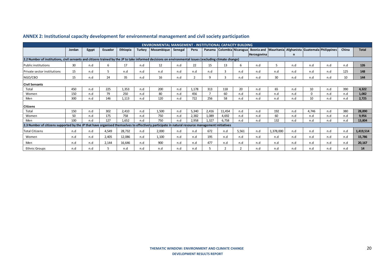|                                                                                                                                                         | <b>ENVIRONMENTAL MANGEMENT - INSTITUTIONAL CAPACITY BUILDING</b> |       |         |          |               |            |         |       |                |                         |                           |                                                        |           |     |          |     |       |              |
|---------------------------------------------------------------------------------------------------------------------------------------------------------|------------------------------------------------------------------|-------|---------|----------|---------------|------------|---------|-------|----------------|-------------------------|---------------------------|--------------------------------------------------------|-----------|-----|----------|-----|-------|--------------|
|                                                                                                                                                         | Jordan                                                           | Egypt | Ecuador | Ethiopia | <b>Turkey</b> | Mozambique | Senegal | Peru  |                |                         | Panama Colombia Nicaragua | Bosnia and Mauritania Afghanista Guatemala Philippines |           |     |          |     | China | <b>Total</b> |
|                                                                                                                                                         |                                                                  |       |         |          |               |            |         |       |                |                         |                           | Herzegovina                                            |           | n   |          |     |       |              |
| 2.2 Number of institutions, civil servants and citizens trained by the JP to take informed decisions on environmental issues (excluding climate change) |                                                                  |       |         |          |               |            |         |       |                |                         |                           |                                                        |           |     |          |     |       |              |
| <b>Public institutions</b>                                                                                                                              | 30                                                               | n.d   | 6       | 17       | n.d           | 12         | n.d     | 22    | 15             | 13                      | -6                        | n.d                                                    | 5         | n.d | n.d      | n.d | n.d   | 126          |
| <b>Private sector institutions</b>                                                                                                                      | 15                                                               | n.d   | -5      | n.d      | n.d           | n.d        | n.d     | n.d   | n.d            | $\mathbf{a}$            | n.d                       | n.d                                                    | n.d       | n.d | n.d      | n.d | 125   | 148          |
| NGO/CBO                                                                                                                                                 | 15                                                               | n.d   | 24      | 35       | n.d           | 16         | n.d     |       | 9              | $\overline{\mathbf{a}}$ | n.d                       | n.d                                                    | 30        | n.d | n.d      | n.d | 10    | 144          |
| <b>Civil Servants</b>                                                                                                                                   |                                                                  |       |         |          |               |            |         |       |                |                         |                           |                                                        |           |     |          |     |       |              |
| Total                                                                                                                                                   | 450                                                              | n.d   | 225     | 1,353    | n.d           | 200        | n.d     | 1,178 | 313            | 118                     | 20                        | n.d                                                    | 65        | n.d | 10       | n.d | 390   | 4,322        |
| Women                                                                                                                                                   | 150                                                              | n.d   | 79      | 250      | n.d           | 80         | n.d     | 456   | $\overline{7}$ | 60                      | n.d                       | n.d                                                    | n.d       | n.d | $\Omega$ | n.d | n.d   | 1,082        |
| Men                                                                                                                                                     | 300                                                              | n.d   | 146     | 1.113    | n.d           | 120        | n.d     | 722   | 256            | 58                      | n.d                       | n.d                                                    | n.d       | n.d | 10       | n.d | n.d   | 2,725        |
| <b>Citizens</b>                                                                                                                                         |                                                                  |       |         |          |               |            |         |       |                |                         |                           |                                                        |           |     |          |     |       |              |
| Total                                                                                                                                                   | 150                                                              | n.d   | 302     | 2.410    | n.d           | 1,500      | n.d     | 5,340 | 2,416          | 11,454                  | n.d                       | n.d                                                    | 192       | n.d | 4.746    | n.d | 380   | 28,890       |
| Women                                                                                                                                                   | 50                                                               | n.d   | 175     | 758      | n.d           | 750        | n.d     | 2,382 | 1,089          | 4,692                   | n.d                       | n.d                                                    | 60        | n.d | n.d      | n.d | n.d   | 9,956        |
| Men                                                                                                                                                     | 100                                                              | n.d   | 127     | 1.652    | n.d           | 750        | n.d     | 2,958 | 1,327          | 6,758                   | n.d                       | n.d                                                    | 132       | n.d | n.d      | n.d | n.d   | 13,804       |
| 2.3 Number of citizens supported by the JP that have organised themselves to effectively participate in natural resource management initiatives         |                                                                  |       |         |          |               |            |         |       |                |                         |                           |                                                        |           |     |          |     |       |              |
| <b>Total Citizens</b>                                                                                                                                   | n.d                                                              | n.d   | 4,549   | 28,732   | n.d           | 2,000      | n.d     | n.d   | 672            | n.d                     | 5,561                     | n.d                                                    | 1,378,000 | n.d | n.d      | n.d | n.d   | 1,419,514    |
| Women                                                                                                                                                   | n.d                                                              | n.d   | 2,405   | 12,086   | n.d           | 1,100      | n.d     | n.d   | 195            | n.d                     | n.d                       | n.d                                                    | n.d       | n.d | n.d      | n.d | n.d   | 15,786       |
| Men                                                                                                                                                     | n.d                                                              | n.d   | 2,144   | 16,646   | n.d           | 900        | n.d     | n.d   | 477            | n.d                     | n.d                       | n.d                                                    | n.d       | n.d | n.d      | n.d | n.d   | 20,167       |
| <b>Ethnic Groups</b>                                                                                                                                    | n.d                                                              | n.d   | 5       | n.d      | n.d           | n.d        | n.d     | n.d   |                |                         |                           | n.d                                                    | n.d       | n.d | n.d      | n.d | n.d   | 14           |

## **ANNEX 2: Institutional capacity development for environmental management and civil society participation**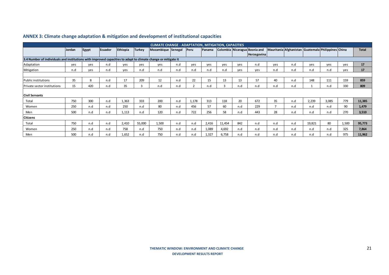|                                                                                                               | <b>CLIMATE CHANGE - ADAPTATION, MITIGATION, CAPACITIES</b><br>Mauritania Afghanistan Guatemala Philippines China |       |                |          |               |                    |     |             |        |              |     |                               |                |     |        |       |       |              |
|---------------------------------------------------------------------------------------------------------------|------------------------------------------------------------------------------------------------------------------|-------|----------------|----------|---------------|--------------------|-----|-------------|--------|--------------|-----|-------------------------------|----------------|-----|--------|-------|-------|--------------|
|                                                                                                               | Jordan                                                                                                           | Egypt | <b>Ecuador</b> | Ethiopia | <b>Turkey</b> | Mozambique Senegal |     | <b>Peru</b> | Panama |              |     | Colombia Nicaragua Bosnia and |                |     |        |       |       | <b>Total</b> |
|                                                                                                               |                                                                                                                  |       |                |          |               |                    |     |             |        |              |     | <b>Herzegovina</b>            |                |     |        |       |       |              |
| 3.4 Number of individuals and institutions with improved capacities to adapt to climate change or mitigate it |                                                                                                                  |       |                |          |               |                    |     |             |        |              |     |                               |                |     |        |       |       |              |
| Adaptation                                                                                                    | ves                                                                                                              | ves   | n.d            | yes      | yes           | yes                | n.d | yes         | yes    | yes          | yes | n.d                           | yes            | n.d | yes    | yes   | yes   | 17           |
| Mitigation                                                                                                    | n.d                                                                                                              | yes   | n.d            | yes      | n.d           | n.d                | n.d | n.d         | n.d    | n.d          | yes | ves                           | n.d            | n.d | n.d    | n.d   | yes   | 17           |
|                                                                                                               |                                                                                                                  |       |                |          |               |                    |     |             |        |              |     |                               |                |     |        |       |       |              |
| Public institutions                                                                                           | 35                                                                                                               | 8     | n.d            | 17       | 209           | 12                 | n.d | 22          | 15     | 13           | 13  | 57                            | 40             | n.d | 148    | 111   | 159   | 859          |
| <b>Private sector institutions</b>                                                                            | 15                                                                                                               | 420   | n.d            | 35       | 3             | n.d                | n.d |             | n.d    | $\mathbf{a}$ | n.d | n.d                           | n.d            | n.d |        | n.d   | 330   | 809          |
|                                                                                                               |                                                                                                                  |       |                |          |               |                    |     |             |        |              |     |                               |                |     |        |       |       |              |
| <b>Civil Servants</b>                                                                                         |                                                                                                                  |       |                |          |               |                    |     |             |        |              |     |                               |                |     |        |       |       |              |
| Total                                                                                                         | 750                                                                                                              | 300   | n.d            | 1,363    | 333           | 200                | n.d | 1,178       | 313    | 118          | 20  | 672                           | 35             | n.d | 2,239  | 3,085 | 779   | 11,385       |
| Women                                                                                                         | 250                                                                                                              | n.d   | n.d            | 250      | n.d           | 80                 | n.d | 456         | 57     | 60           | n.d | 229                           | $\overline{ }$ | n.d | n.d    | n.d   | 90    | 1,479        |
| Men                                                                                                           | 500                                                                                                              | n.d   | n.d            | 1,113    | n.d           | 120                | n.d | 722         | 256    | 58           | n.d | 443                           | 28             | n.d | n.d    | n.d   | 270   | 3,510        |
| <b>Citizens</b>                                                                                               |                                                                                                                  |       |                |          |               |                    |     |             |        |              |     |                               |                |     |        |       |       |              |
| Total                                                                                                         | 750                                                                                                              | n.d   | n.d            | 2,410    | 55,000        | 1,500              | n.d | n.d         | 2,416  | 11,454       | 842 | n.d                           | n.d            | n.d | 19,821 | 80    | 1,500 | 95,773       |
| Women                                                                                                         | 250                                                                                                              | n.d   | n.d            | 758      | n.d           | 750                | n.d | n.d         | 1,089  | 4,692        | n.d | n.d                           | n.d            | n.d | n.d    | n.d   | 325   | 7,864        |
| Men                                                                                                           | 500                                                                                                              | n.d   | n.d            | 1,652    | n.d           | 750                | n.d | n.d         | 1,327  | 6,758        | n.d | n.d                           | n.d            | n.d | n.d    | n.d   | 975   | 11,962       |

## **ANNEX 3: Climate change adaptation & mitigation and development of institutional capacities**